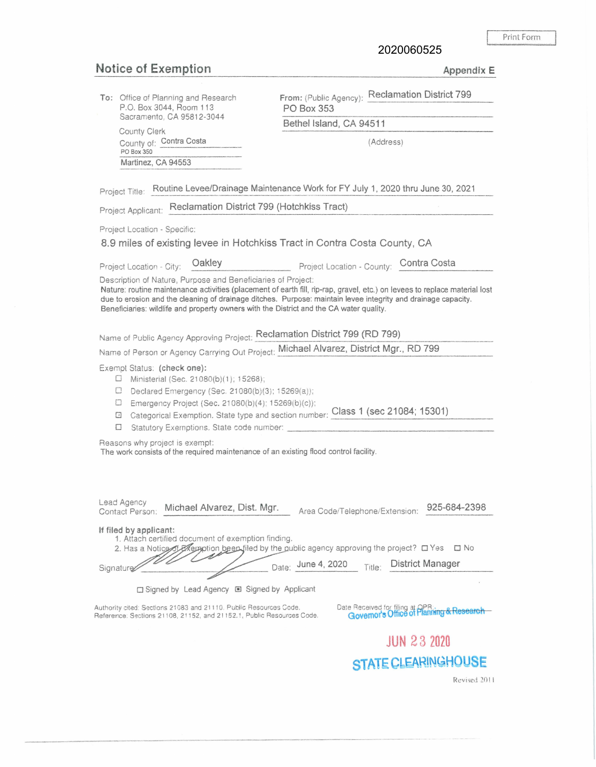Print Form \_\_ J

2020060525

## **Notice of Exemption** Appendix E

| To: Office of Planning and Research<br>P.O. Box 3044, Room 113                                                                                                                                                                                                                                                                                                                                         | From: (Public Agency): Reclamation District 799<br>PO Box 353                                                                                           |
|--------------------------------------------------------------------------------------------------------------------------------------------------------------------------------------------------------------------------------------------------------------------------------------------------------------------------------------------------------------------------------------------------------|---------------------------------------------------------------------------------------------------------------------------------------------------------|
| Sacramento, CA 95812-3044                                                                                                                                                                                                                                                                                                                                                                              | Bethel Island, CA 94511                                                                                                                                 |
| County Clerk<br>County of: Contra Costa                                                                                                                                                                                                                                                                                                                                                                | (Address)                                                                                                                                               |
| PO Box 350<br>Martinez, CA 94553                                                                                                                                                                                                                                                                                                                                                                       |                                                                                                                                                         |
|                                                                                                                                                                                                                                                                                                                                                                                                        |                                                                                                                                                         |
| Project Title: Routine Levee/Drainage Maintenance Work for FY July 1, 2020 thru June 30, 2021                                                                                                                                                                                                                                                                                                          |                                                                                                                                                         |
| Project Applicant: Reclamation District 799 (Hotchkiss Tract)                                                                                                                                                                                                                                                                                                                                          |                                                                                                                                                         |
| Project Location - Specific:                                                                                                                                                                                                                                                                                                                                                                           |                                                                                                                                                         |
|                                                                                                                                                                                                                                                                                                                                                                                                        | 8.9 miles of existing levee in Hotchkiss Tract in Contra Costa County, CA                                                                               |
| Oakley<br>Project Location - City:                                                                                                                                                                                                                                                                                                                                                                     | Project Location - County: Contra Costa                                                                                                                 |
| Description of Nature, Purpose and Beneficiaries of Project:<br>Nature: routine maintenance activities (placement of earth fill, rip-rap, gravel, etc.) on levees to replace material lost<br>due to erosion and the cleaning of drainage ditches. Purpose: maintain levee integrity and drainage capacity.<br>Beneficiaries: wildlife and property owners with the District and the CA water quality. |                                                                                                                                                         |
| Name of Public Agency Approving Project: Reclamation District 799 (RD 799)                                                                                                                                                                                                                                                                                                                             |                                                                                                                                                         |
| Name of Person or Agency Carrying Out Project: Michael Alvarez, District Mgr., RD 799                                                                                                                                                                                                                                                                                                                  |                                                                                                                                                         |
| Exempt Status: (check one):<br>Ministerial (Sec. 21080(b)(1); 15268);<br>U<br>Declared Emergency (Sec. 21080(b)(3); 15269(a));<br>$\Box$<br>Ш<br>Emergency Project (Sec. 21080(b)(4); 15269(b)(c));<br>⊡<br>$\Box$<br>Statutory Exemptions. State code number:                                                                                                                                         | Categorical Exemption. State type and section number: Class 1 (sec 21084; 15301)                                                                        |
| Reasons why project is exempt:<br>The work consists of the required maintenance of an existing flood control facility.                                                                                                                                                                                                                                                                                 |                                                                                                                                                         |
| Lead Agency                                                                                                                                                                                                                                                                                                                                                                                            |                                                                                                                                                         |
| Michael Alvarez, Dist. Mgr.<br>Contact Person:                                                                                                                                                                                                                                                                                                                                                         | 925-684-2398<br>Area Code/Telephone/Extension:                                                                                                          |
| If filed by applicant:<br>1. Attach certified document of exemption finding.<br>Signature                                                                                                                                                                                                                                                                                                              | 2. Has a Notice of EXemption been filed by the public agency approving the project? □ Yes<br>$\square$ No<br>Date: June 4, 2020 Title: District Manager |
| □ Signed by Lead Agency ■ Signed by Applicant                                                                                                                                                                                                                                                                                                                                                          |                                                                                                                                                         |
| Authority cited: Sections 21083 and 21110. Public Resources Code.<br>Reference: Sections 21108, 21152, and 21152.1, Public Resources Code.                                                                                                                                                                                                                                                             | Date Received for filing at OPR:<br>Governor's Office of Planning & Research                                                                            |
|                                                                                                                                                                                                                                                                                                                                                                                                        | <b>JUN 23 2020</b>                                                                                                                                      |
|                                                                                                                                                                                                                                                                                                                                                                                                        | STATE CLEARINGHOUSE                                                                                                                                     |
|                                                                                                                                                                                                                                                                                                                                                                                                        | Revised 2011                                                                                                                                            |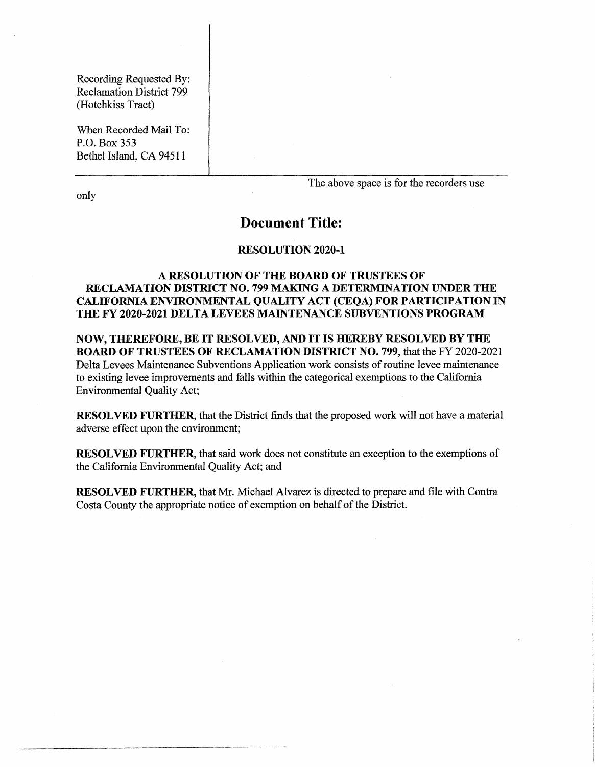Recording Requested By: Reclamation District 799 (Hotchkiss Tract)

When Recorded Mail To: P.O. Box 353 Bethel Island, CA 94511

only

The above space is for the recorders use

## **Document Title:**

## **RESOLUTION 2020-1**

## **A RESOLUTION OF THE BOARD OF TRUSTEES OF RECLAMATION DISTRICT NO. 799 MAKING A DETERMINATION UNDER THE CALIFORNIA ENVIRONMENTAL QUALITY ACT (CEQA) FOR PARTICIPATION IN THE FY 2020-2021 DELTA LEVEES MAINTENANCE SUBVENTIONS PROGRAM**

**NOW, THEREFORE, BE IT RESOLVED, AND IT IS HEREBY RESOLVED BY THE BOARD OF TRUSTEES OF RECLAMATION DISTRICT NO. 799,** that the FY 2020-2021 Delta Levees Maintenance Subventions Application work consists of routine levee maintenance to existing levee improvements and falls within the categorical exemptions to the California Environmental Quality Act;

**RESOLVED FURTHER,** that the District finds that the proposed work will not have a material adverse effect upon the environment;

**RESOLVED FURTHER,** that said work does not constitute an exception to the exemptions of the California Environmental Quality Act; and

**RESOLVED FURTHER,** that Mr. Michael Alvarez is directed to prepare and file with Contra Costa County the appropriate notice of exemption on behalf of the District.